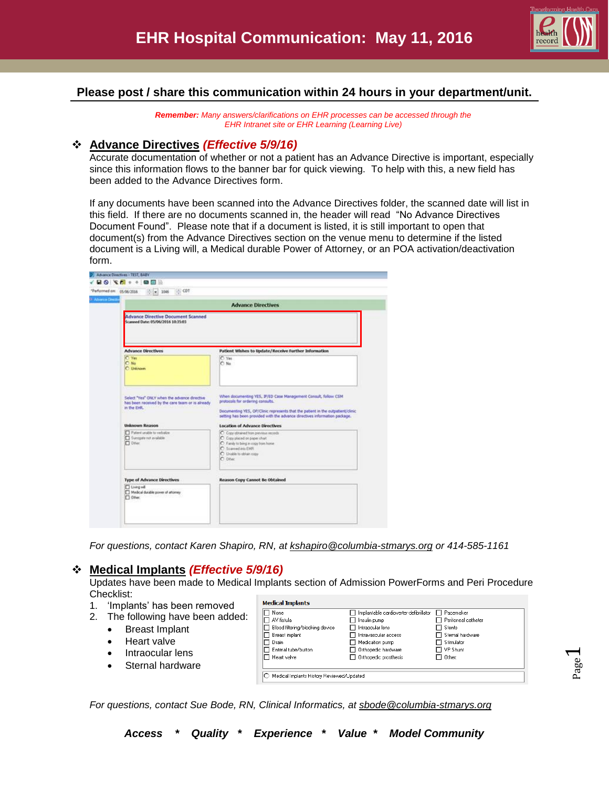

# **Please post / share this communication within 24 hours in your department/unit.**

*Remember: Many answers/clarifications on EHR processes can be accessed through the EHR Intranet site or EHR Learning (Learning Live)*

### **Advance Directives** *(Effective 5/9/16)*

Accurate documentation of whether or not a patient has an Advance Directive is important, especially since this information flows to the banner bar for quick viewing. To help with this, a new field has been added to the Advance Directives form.

If any documents have been scanned into the Advance Directives folder, the scanned date will list in this field. If there are no documents scanned in, the header will read "No Advance Directives Document Found". Please note that if a document is listed, it is still important to open that document(s) from the Advance Directives section on the venue menu to determine if the listed document is a Living will, a Medical durable Power of Attorney, or an POA activation/deactivation form.

|                                                                                                                                   | <b>Advance Directives</b>                                                                                                                                                                                                                                                                                     |
|-----------------------------------------------------------------------------------------------------------------------------------|---------------------------------------------------------------------------------------------------------------------------------------------------------------------------------------------------------------------------------------------------------------------------------------------------------------|
| <b>Advance Directive Document Scanned</b>                                                                                         |                                                                                                                                                                                                                                                                                                               |
| Scanned Date: 05/06/2016 10:35:03                                                                                                 |                                                                                                                                                                                                                                                                                                               |
| <b>Advance Directives</b>                                                                                                         | Patient Wishes to Update/Receive Further Information                                                                                                                                                                                                                                                          |
| C Yes<br>C No<br>C Unknown                                                                                                        | C Yes<br>N <sub>0</sub>                                                                                                                                                                                                                                                                                       |
| Select "Yes" ONLY when the advance directive<br>has been received by the care team or is already<br>in the EHR.<br>Unknown Reason | When documenting YES, IF/ED Case Management Consult, follow CSM<br>protocols for ordering consults.<br>Documenting YES, OP/Clinic represents that the patient in the outpatient/clinic<br>setting has been provided with the advance directives information package.<br><b>Location of Advance Directives</b> |
| Patent unable to verbalize<br>Surogete not available<br>$\Box$ DPer                                                               | C Copy obtained from previous records<br>C Copy placed on paper chart.<br>C Family to bring in copy from home<br>C Scanned into EMR<br>C Unable to obtain copy<br>C Dive                                                                                                                                      |
| <b>Type of Advance Directives</b>                                                                                                 | <b>Reason Copy Cannot Be Obtained</b>                                                                                                                                                                                                                                                                         |
| Living will<br>Medical durable power of attorney                                                                                  |                                                                                                                                                                                                                                                                                                               |

*For questions, contact Karen Shapiro, RN, at [kshapiro@columbia-stmarys.org](mailto:kshapiro@columbia-stmarys.org) or 414-585-1161*

# **Medical Implants** *(Effective 5/9/16)*

Updates have been made to Medical Implants section of Admission PowerForms and Peri Procedure Checklist:

- 1. 'Implants' has been removed
- 2. The following have been added:
	- Breast Implant
	- Heart valve
	- Intraocular lens
	- Sternal hardware

| □ None                          | Implantable cardioverter-defibrillator | □ Pacemaker           |
|---------------------------------|----------------------------------------|-----------------------|
| $\Box$ AV fistula               | Insulin pump                           | F Peritoneal catheter |
| Blood filtering/blocking device | Intraocular lens                       | $\Box$ Stents         |
| Breast implant                  | $\sqcap$ Intravascular access          | □ Sternal hardware    |
| Drain                           | Medication pump                        | □ Stimulator          |
| □ Enteral tube/button           | $\Box$ Orthopedic hardware             | $\Box$ VP Shunt       |
| $\Box$ Heart valve              | $\sqcap$ Orthopedic prosthesis         | $\Box$ Other:         |
|                                 |                                        |                       |

*For questions, contact Sue Bode, RN, Clinical Informatics, at [sbode@columbia-stmarys.org](mailto:sbode@columbia-stmarys.org)*

 $\overline{\phantom{0}}$ 

*Access \* Quality \* Experience \* Value \* Model Community*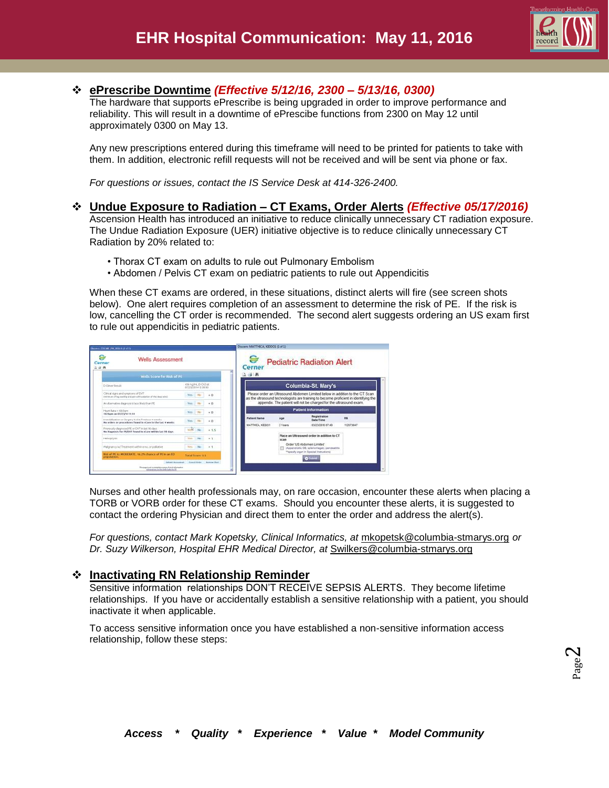

## **ePrescribe Downtime** *(Effective 5/12/16, 2300 – 5/13/16, 0300)*

The hardware that supports ePrescribe is being upgraded in order to improve performance and reliability. This will result in a downtime of ePrescibe functions from 2300 on May 12 until approximately 0300 on May 13.

Any new prescriptions entered during this timeframe will need to be printed for patients to take with them. In addition, electronic refill requests will not be received and will be sent via phone or fax.

*For questions or issues, contact the IS Service Desk at 414-326-2400.*

## **Undue Exposure to Radiation – CT Exams, Order Alerts** *(Effective 05/17/2016)*

Ascension Health has introduced an initiative to reduce clinically unnecessary CT radiation exposure. The Undue Radiation Exposure (UER) initiative objective is to reduce clinically unnecessary CT Radiation by 20% related to:

- Thorax CT exam on adults to rule out Pulmonary Embolism
- Abdomen / Pelvis CT exam on pediatric patients to rule out Appendicitis

When these CT exams are ordered, in these situations, distinct alerts will fire (see screen shots below). One alert requires completion of an assessment to determine the risk of PE. If the risk is low, cancelling the CT order is recommended. The second alert suggests ordering an US exam first to rule out appendicitis in pediatric patients.

| <b>Wells Assessment</b><br>Cerner<br>山山井                                                                          |             |                                            |        | Cerne               |         | <b>Pediatric Radiation Alert</b>                                                                                                                                    |           |
|-------------------------------------------------------------------------------------------------------------------|-------------|--------------------------------------------|--------|---------------------|---------|---------------------------------------------------------------------------------------------------------------------------------------------------------------------|-----------|
| Wells Score For Risk of PE                                                                                        |             |                                            |        | 立道的                 |         |                                                                                                                                                                     |           |
| D-Dinver Rende                                                                                                    |             | escriptivi, EHDO at<br>07/23/2014 12:30:30 |        |                     |         | Columbia-St. Mary's                                                                                                                                                 |           |
| Clinical starts and synusters of DVT<br>minister of the coloradog and painted to present and the deep wind.       |             |                                            | $+$    |                     |         | Please order an Ultrasound Abdomen Limited below in addition to the CT Scan<br>as the ultrasound technologists are training to become proficient in identifying the |           |
| An albemative diagnosis is lates likely than PE                                                                   | Ves.        |                                            | $+0$   |                     |         | appendix. The patient will not be charged for the ultrasound exam.                                                                                                  |           |
| Heart Rate x 100 bees<br>162 hpm cm 62/23/14 11:14                                                                | Yes.        |                                            | $+0$   |                     |         | <b>Patient Information</b>                                                                                                                                          |           |
| immobilization or Surgery in the Previous exweels.<br>No orders or procedures found in eCare in the last # weeks. | Yes.        | $-040$                                     | $+41$  | <b>Patient Name</b> | Age     | Registration<br>Date/Time                                                                                                                                           | rac       |
| Previously dispressed PE or DVT in last 90 days<br>No Diagnosis for PE/DVT found in oCase within last 50 days     | <b>Veht</b> | N <sub>m</sub>                             | $+3.5$ | MATTHICA, KEOOT     | 2 Vaars | 03/23/2016 07:49                                                                                                                                                    | 112073047 |
| Hersophysts                                                                                                       | TES.        | $-340$                                     | $+1$   |                     | 57,85   | Place an Ultrasound order in addition to CT                                                                                                                         |           |
| makinancy'w/Treatment within a min. or pollutive                                                                  |             | Ves No +1                                  |        |                     |         | Order US Abdomen Limited<br>skopendicitis, OB, solarcritegisty, parcreatitis                                                                                        |           |
| link of FE to MODERATE, 14, 2% chance of PE to an ED.<br>persistin.                                               |             | <b>Total Scoce: 3.4</b>                    |        |                     |         | <sup>11</sup> tpeoly organ in Special Instructions)<br><b>Telestin</b>                                                                                              |           |

Nurses and other health professionals may, on rare occasion, encounter these alerts when placing a TORB or VORB order for these CT exams. Should you encounter these alerts, it is suggested to contact the ordering Physician and direct them to enter the order and address the alert(s).

*For questions, contact Mark Kopetsky, Clinical Informatics, at* [mkopetsk@columbia-stmarys.org](mailto:mkopetsk@columbia-stmarys.org) *or Dr. Suzy Wilkerson, Hospital EHR Medical Director, at* [Swilkers@columbia-stmarys.org](mailto:Swilkers@columbia-stmarys.org)

#### **Inactivating RN Relationship Reminder**

Sensitive information relationships DON'T RECEIVE SEPSIS ALERTS. They become lifetime relationships. If you have or accidentally establish a sensitive relationship with a patient, you should inactivate it when applicable.

To access sensitive information once you have established a non-sensitive information access relationship, follow these steps: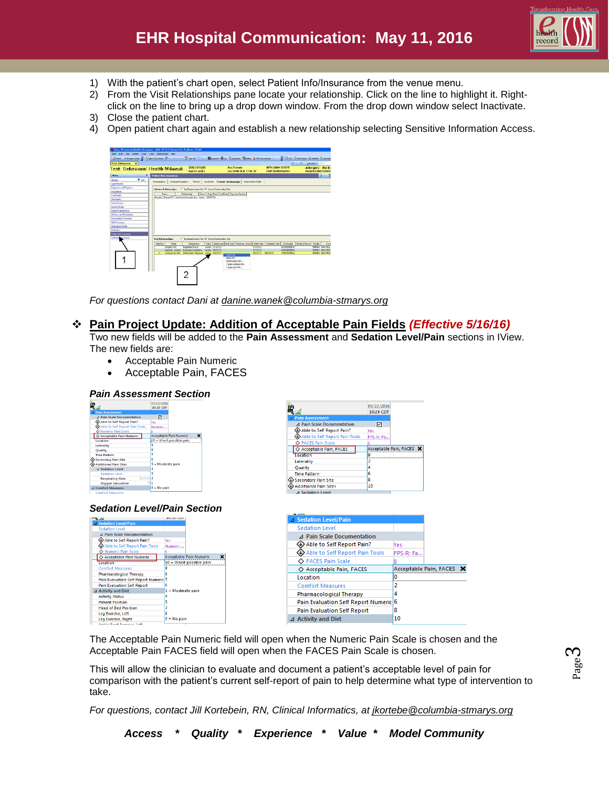

- 1) With the patient's chart open, select Patient Info/Insurance from the venue menu.
- 2) From the Visit Relationships pane locate your relationship. Click on the line to highlight it. Rightclick on the line to bring up a drop down window. From the drop down window select Inactivate.
- 3) Close the patient chart.
- 4) Open patient chart again and establish a new relationship selecting Sensitive Information Access.



*For questions contact Dani at [danine.wanek@columbia-stmarys.org](mailto:danine.wanek@columbia-stmarys.org)*

### **Pain Project Update: Addition of Acceptable Pain Fields** *(Effective 5/16/16)*

Two new fields will be added to the **Pain Assessment** and **Sedation Level/Pain** sections in IView. The new fields are:

- Acceptable Pain Numeric
- Acceptable Pain, FACES

# *Pain Assessment Section*

| m       |                                   |         | 05/10/2016        |                                |   |
|---------|-----------------------------------|---------|-------------------|--------------------------------|---|
|         |                                   |         | 10:23 CDT         |                                |   |
|         | <b>Pain Assessment</b>            |         |                   |                                |   |
|         | <b>4 Pain Scale Documentation</b> |         | ⊡                 |                                |   |
|         | Able to Self Report Pain?         |         | Vec               |                                |   |
|         | Able to Self Report Pain Tools    |         | Numeric           |                                |   |
|         | O Numeric Pain Scale              |         |                   |                                |   |
|         | ◇ Acceptable Pain Numeric         |         |                   | <b>Acceptable Pain Numeric</b> | × |
|         | Location                          |         |                   | 10 = Worst possible pain       |   |
|         | Laterality                        |         | ٩                 |                                |   |
| Quality |                                   |         | 8                 |                                |   |
|         | <b>Time Pattern</b>               |         |                   |                                |   |
|         | <b>Secondary Pain Site</b>        |         | 6                 |                                |   |
|         | <b>Additional Pain Sites</b>      |         | 5 = Moderate pain |                                |   |
|         | △ Sedation Level                  |         | ۵                 |                                |   |
|         | <b>Sedation Level</b>             |         | в                 |                                |   |
|         | <b>Respiratory Rate</b>           | br/min2 |                   |                                |   |
|         | <b>Oxygen Saturation</b>          | 94      | n                 |                                |   |
|         | <b>4 Comfort Measures</b>         |         | $0 = No$ pain     |                                |   |
|         | <b>Comfort Measures</b>           |         |                   |                                |   |

#### *Sedation Level/Pain Section*







The Acceptable Pain Numeric field will open when the Numeric Pain Scale is chosen and the Acceptable Pain FACES field will open when the FACES Pain Scale is chosen.

This will allow the clinician to evaluate and document a patient's acceptable level of pain for comparison with the patient's current self-report of pain to help determine what type of intervention to take.

*For questions, contact Jill Kortebein, RN, Clinical Informatics, at [jkortebe@columbia-stmarys.org](mailto:jkortebe@columbia-stmarys.org)*

*Access \* Quality \* Experience \* Value \* Model Community*